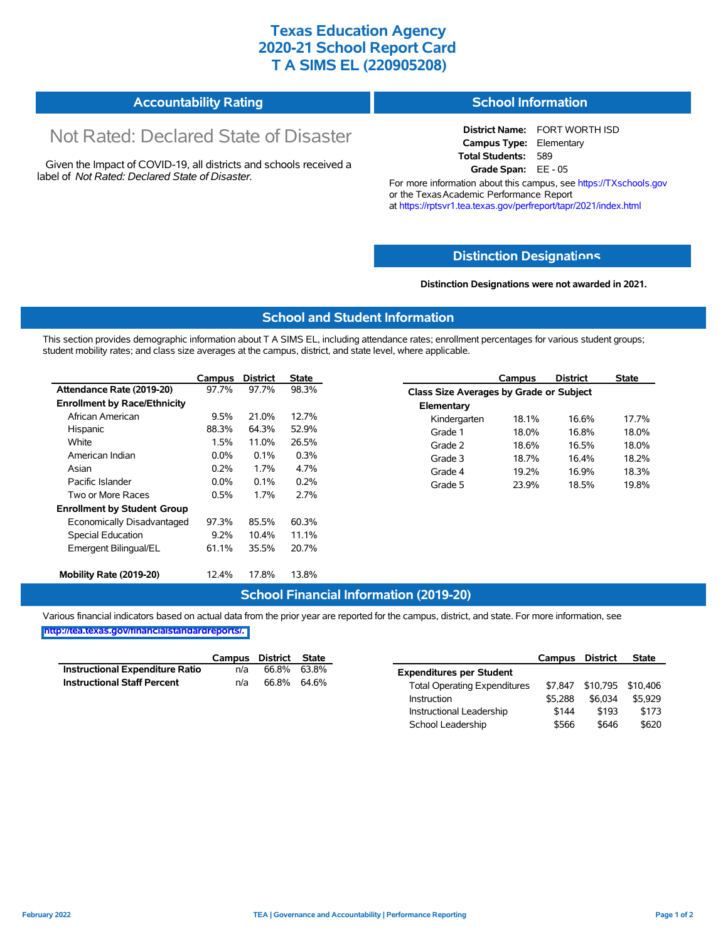## **Texas Education Agency 2020-21 School Report Card T A SIMS EL (220905208)**

| <b>Accountability Rating</b> | <b>School Information</b> |
|------------------------------|---------------------------|
|------------------------------|---------------------------|

# Not Rated: Declared State of Disaster

Given the Impact of COVID-19, all districts and schools received a label of *Not Rated: Declared State of Disaster.*

**District Name:** FORT WORTH ISD **Campus Type:** Elementary **Total Students:** 589 **Grade Span:** EE - 05

For more information about this campus, see https://TXschools.gov or the Texas Academic Performance Report at https://rptsvr1.tea.texas.gov/perfreport/tapr/2021/index.html

#### **Distinction Designat[ions](https://TXschools.gov)**

**Distinction Designations were not awarded in 2021.**

School Leadership  $$566$  \$646 \$620

#### **School and Student Information**

This section provides demographic information about T A SIMS EL, including attendance rates; enrollment percentages for various student groups; student mobility rates; and class size averages at the campus, district, and state level, where applicable.

|                                     | Campus | <b>District</b> | <b>State</b> |              | Campus                                  | <b>District</b> | <b>State</b> |  |  |
|-------------------------------------|--------|-----------------|--------------|--------------|-----------------------------------------|-----------------|--------------|--|--|
| Attendance Rate (2019-20)           | 97.7%  | 97.7%           | 98.3%        |              | Class Size Averages by Grade or Subject |                 |              |  |  |
| <b>Enrollment by Race/Ethnicity</b> |        |                 |              | Elementary   |                                         |                 |              |  |  |
| African American                    | 9.5%   | 21.0%           | 12.7%        | Kindergarten | 18.1%                                   | 16.6%           | 17.7%        |  |  |
| Hispanic                            | 88.3%  | 64.3%           | 52.9%        | Grade 1      | 18.0%                                   | 16.8%           | 18.0%        |  |  |
| White                               | 1.5%   | 11.0%           | 26.5%        | Grade 2      | 18.6%                                   | 16.5%           | 18.0%        |  |  |
| American Indian                     | 0.0%   | 0.1%            | 0.3%         | Grade 3      | 18.7%                                   | 16.4%           | 18.2%        |  |  |
| Asian                               | 0.2%   | 1.7%            | 4.7%         | Grade 4      | 19.2%                                   | 16.9%           | 18.3%        |  |  |
| Pacific Islander                    | 0.0%   | 0.1%            | 0.2%         | Grade 5      | 23.9%                                   | 18.5%           | 19.8%        |  |  |
| Two or More Races                   | 0.5%   | 1.7%            | 2.7%         |              |                                         |                 |              |  |  |
| <b>Enrollment by Student Group</b>  |        |                 |              |              |                                         |                 |              |  |  |
| Economically Disadvantaged          | 97.3%  | 85.5%           | 60.3%        |              |                                         |                 |              |  |  |
| Special Education                   | 9.2%   | 10.4%           | 11.1%        |              |                                         |                 |              |  |  |
| Emergent Bilingual/EL               | 61.1%  | 35.5%           | 20.7%        |              |                                         |                 |              |  |  |
|                                     |        |                 |              |              |                                         |                 |              |  |  |
| Mobility Rate (2019-20)             | 12.4%  | 17.8%           | 13.8%        |              |                                         |                 |              |  |  |

#### **School Financial Information (2019-20)**

Various financial indicators based on actual data from the prior year are reported for the campus, district, and state. For more information, see

**[http://tea.texas.gov/financialstandardreports/.](http://tea.texas.gov/financialstandardreports/)**

|                                        | Campus | District | <b>State</b> |                                     | Campus  | <b>District</b>   | <b>State</b> |
|----------------------------------------|--------|----------|--------------|-------------------------------------|---------|-------------------|--------------|
| <b>Instructional Expenditure Ratio</b> | n/a    | 66.8%    | 63.8%        | <b>Expenditures per Student</b>     |         |                   |              |
| <b>Instructional Staff Percent</b>     | n/a    | 66.8%    | 64.6%        | <b>Total Operating Expenditures</b> | \$7.847 | \$10,795 \$10,406 |              |
|                                        |        |          |              | Instruction                         | \$5.288 | \$6,034           | \$5,929      |
|                                        |        |          |              | Instructional Leadership            | \$144   | \$193             | \$173        |